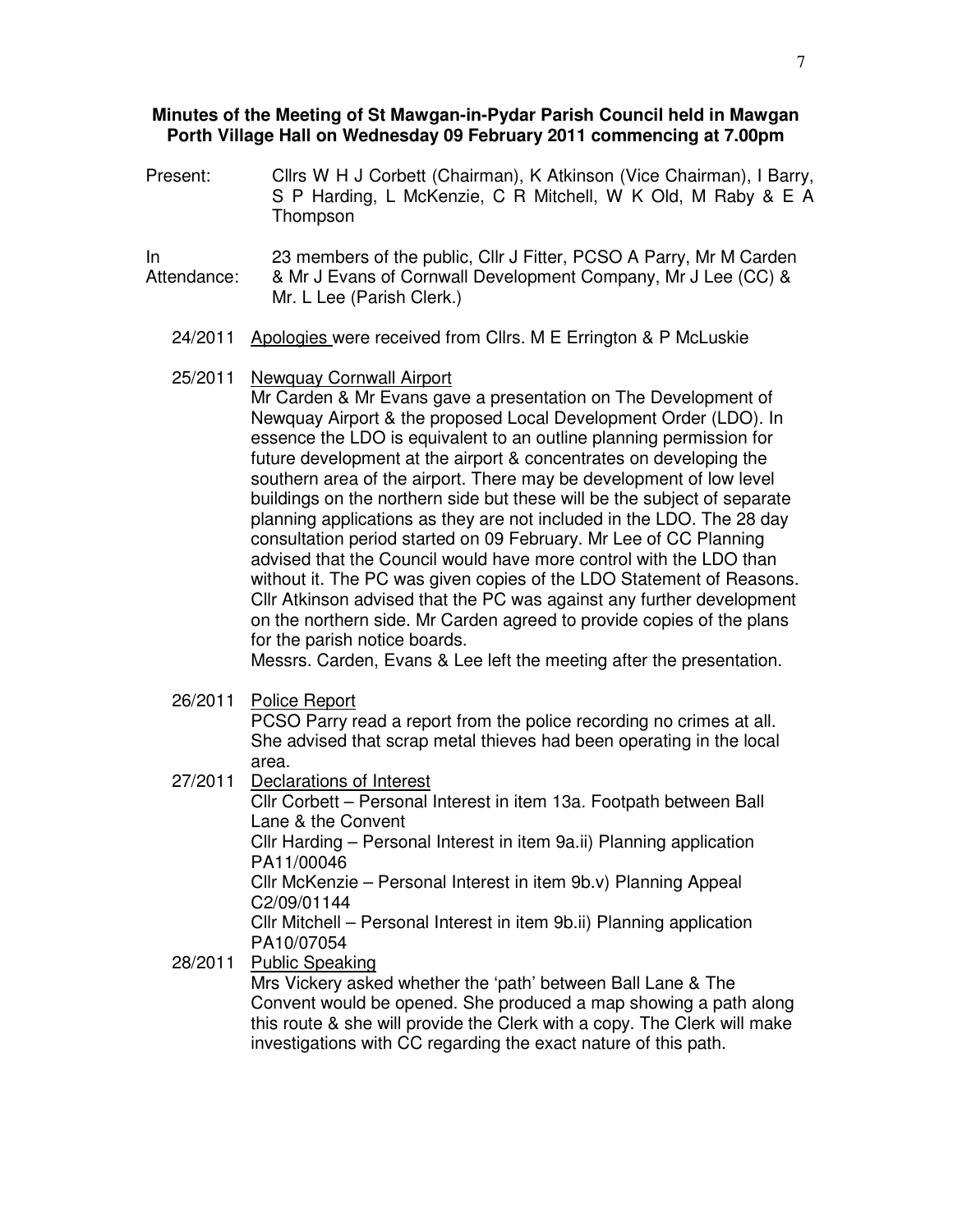#### **Minutes of the Meeting of St Mawgan-in-Pydar Parish Council held in Mawgan Porth Village Hall on Wednesday 09 February 2011 commencing at 7.00pm**

- Present: Cllrs W H J Corbett (Chairman), K Atkinson (Vice Chairman), I Barry, S P Harding, L McKenzie, C R Mitchell, W K Old, M Raby & E A Thompson
- In Attendance: 23 members of the public, Cllr J Fitter, PCSO A Parry, Mr M Carden & Mr J Evans of Cornwall Development Company, Mr J Lee (CC) & Mr. L Lee (Parish Clerk.)
	- 24/2011 Apologies were received from Cllrs. M E Errington & P McLuskie

#### 25/2011 Newquay Cornwall Airport

Mr Carden & Mr Evans gave a presentation on The Development of Newquay Airport & the proposed Local Development Order (LDO). In essence the LDO is equivalent to an outline planning permission for future development at the airport & concentrates on developing the southern area of the airport. There may be development of low level buildings on the northern side but these will be the subject of separate planning applications as they are not included in the LDO. The 28 day consultation period started on 09 February. Mr Lee of CC Planning advised that the Council would have more control with the LDO than without it. The PC was given copies of the LDO Statement of Reasons. Cllr Atkinson advised that the PC was against any further development on the northern side. Mr Carden agreed to provide copies of the plans for the parish notice boards.

Messrs. Carden, Evans & Lee left the meeting after the presentation.

26/2011 Police Report

PCSO Parry read a report from the police recording no crimes at all. She advised that scrap metal thieves had been operating in the local area.

27/2011 Declarations of Interest

Cllr Corbett – Personal Interest in item 13a. Footpath between Ball Lane & the Convent

Cllr Harding – Personal Interest in item 9a.ii) Planning application PA11/00046

Cllr McKenzie – Personal Interest in item 9b.v) Planning Appeal C2/09/01144

Cllr Mitchell – Personal Interest in item 9b.ii) Planning application PA10/07054

28/2011 Public Speaking

Mrs Vickery asked whether the 'path' between Ball Lane & The Convent would be opened. She produced a map showing a path along this route & she will provide the Clerk with a copy. The Clerk will make investigations with CC regarding the exact nature of this path.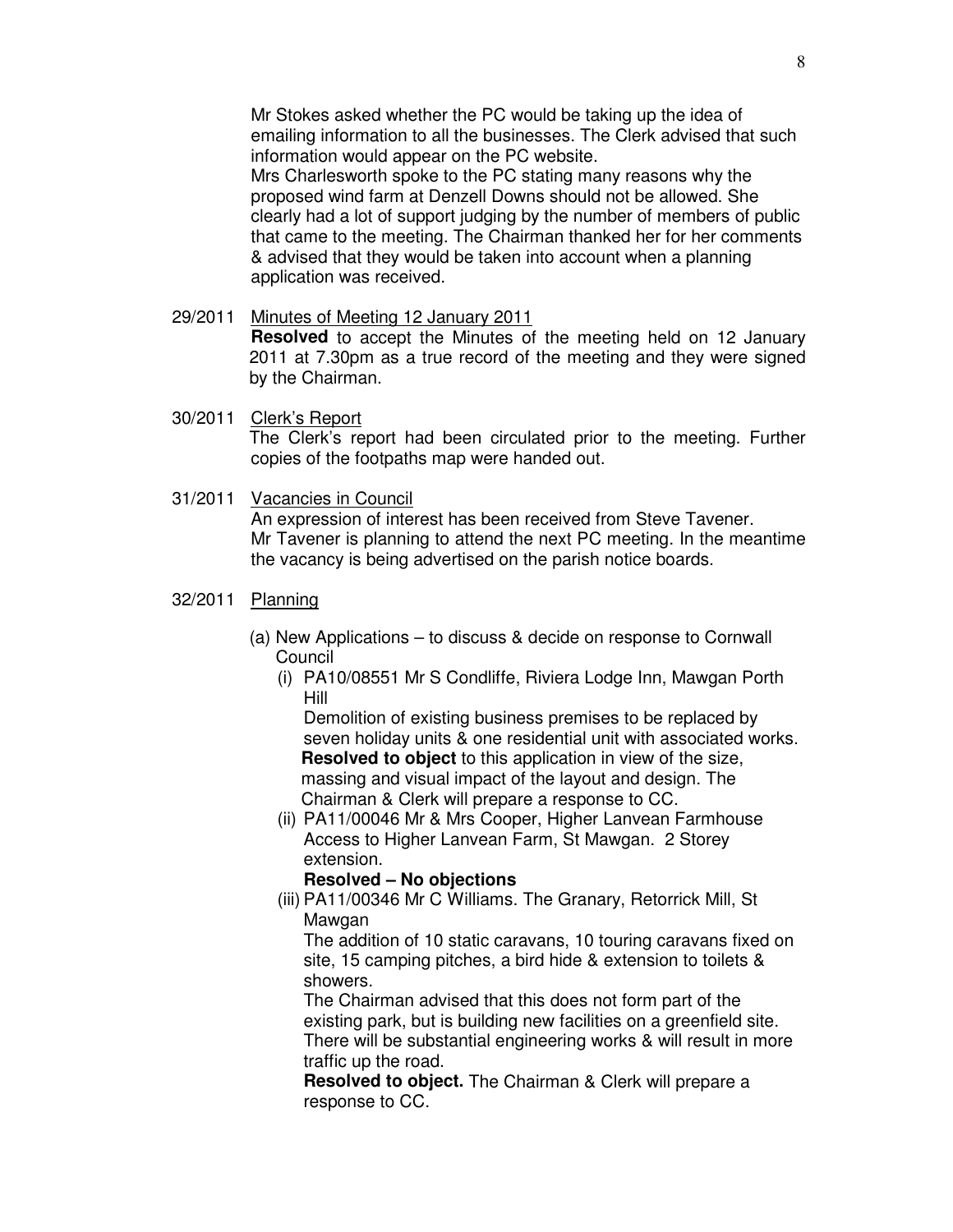Mr Stokes asked whether the PC would be taking up the idea of emailing information to all the businesses. The Clerk advised that such information would appear on the PC website.

Mrs Charlesworth spoke to the PC stating many reasons why the proposed wind farm at Denzell Downs should not be allowed. She clearly had a lot of support judging by the number of members of public that came to the meeting. The Chairman thanked her for her comments & advised that they would be taken into account when a planning application was received.

# 29/2011 Minutes of Meeting 12 January 2011

**Resolved** to accept the Minutes of the meeting held on 12 January 2011 at 7.30pm as a true record of the meeting and they were signed by the Chairman.

- 30/2011 Clerk's Report The Clerk's report had been circulated prior to the meeting. Further copies of the footpaths map were handed out.
- 31/2011 Vacancies in Council An expression of interest has been received from Steve Tavener. Mr Tavener is planning to attend the next PC meeting. In the meantime the vacancy is being advertised on the parish notice boards.
- 32/2011 Planning
	- (a) New Applications to discuss & decide on response to Cornwall Council
		- (i) PA10/08551 Mr S Condliffe, Riviera Lodge Inn, Mawgan Porth Hill

Demolition of existing business premises to be replaced by seven holiday units & one residential unit with associated works. **Resolved to object** to this application in view of the size, massing and visual impact of the layout and design. The Chairman & Clerk will prepare a response to CC.

(ii) PA11/00046 Mr & Mrs Cooper, Higher Lanvean Farmhouse Access to Higher Lanvean Farm, St Mawgan. 2 Storey extension.

## **Resolved – No objections**

(iii) PA11/00346 Mr C Williams. The Granary, Retorrick Mill, St Mawgan

The addition of 10 static caravans, 10 touring caravans fixed on site, 15 camping pitches, a bird hide & extension to toilets & showers.

The Chairman advised that this does not form part of the existing park, but is building new facilities on a greenfield site. There will be substantial engineering works & will result in more traffic up the road.

**Resolved to object.** The Chairman & Clerk will prepare a response to CC.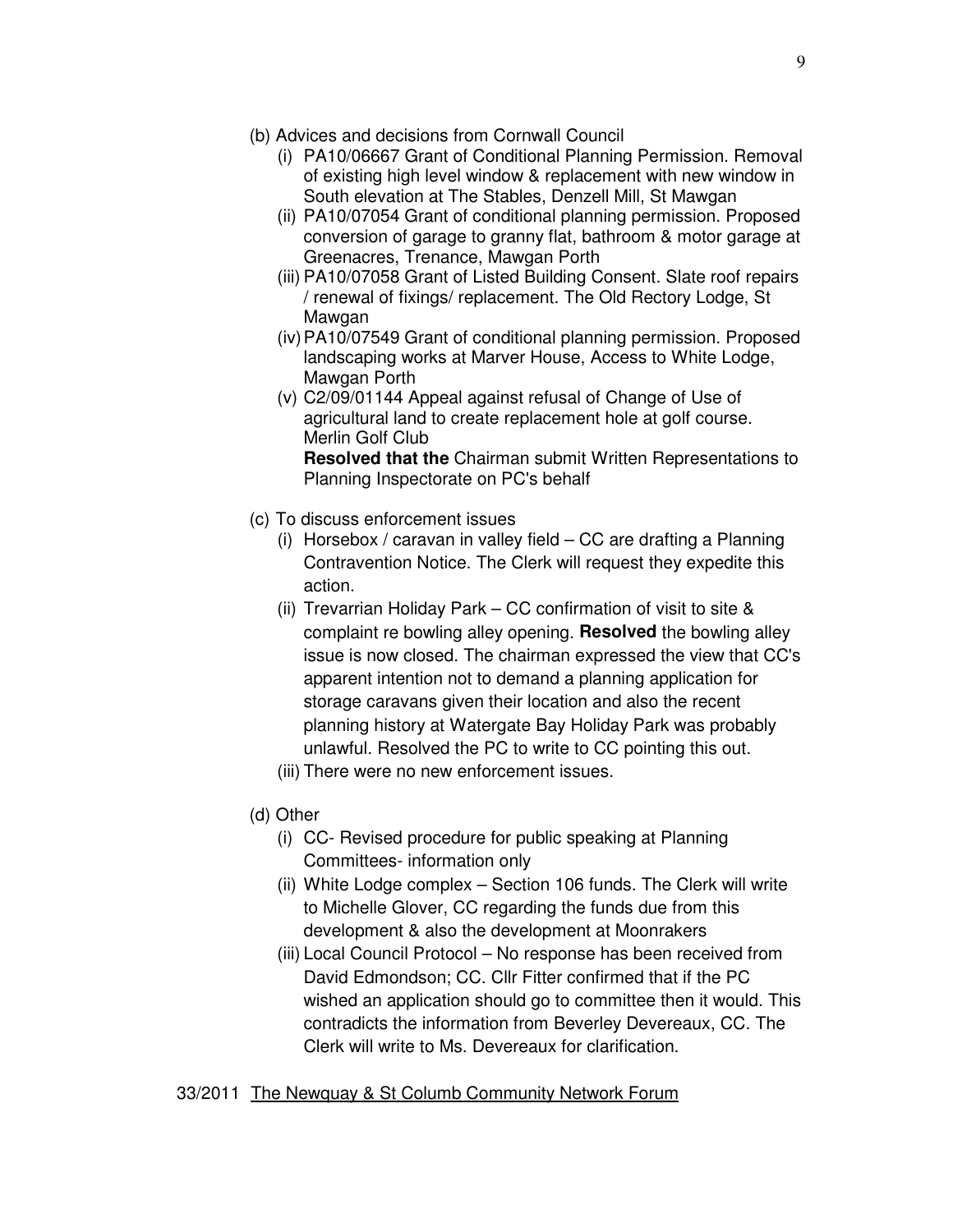- (b) Advices and decisions from Cornwall Council
	- (i) PA10/06667 Grant of Conditional Planning Permission. Removal of existing high level window & replacement with new window in South elevation at The Stables, Denzell Mill, St Mawgan
	- (ii) PA10/07054 Grant of conditional planning permission. Proposed conversion of garage to granny flat, bathroom & motor garage at Greenacres, Trenance, Mawgan Porth
	- (iii) PA10/07058 Grant of Listed Building Consent. Slate roof repairs / renewal of fixings/ replacement. The Old Rectory Lodge, St Mawgan
	- (iv) PA10/07549 Grant of conditional planning permission. Proposed landscaping works at Marver House, Access to White Lodge, Mawgan Porth
	- (v) C2/09/01144 Appeal against refusal of Change of Use of agricultural land to create replacement hole at golf course. Merlin Golf Club **Resolved that the** Chairman submit Written Representations to Planning Inspectorate on PC's behalf
- (c) To discuss enforcement issues
	- (i) Horsebox / caravan in valley field CC are drafting a Planning Contravention Notice. The Clerk will request they expedite this action.
	- (ii) Trevarrian Holiday Park CC confirmation of visit to site & complaint re bowling alley opening. **Resolved** the bowling alley issue is now closed. The chairman expressed the view that CC's apparent intention not to demand a planning application for storage caravans given their location and also the recent planning history at Watergate Bay Holiday Park was probably unlawful. Resolved the PC to write to CC pointing this out.
	- (iii) There were no new enforcement issues.
- (d) Other
	- (i) CC- Revised procedure for public speaking at Planning Committees- information only
	- (ii) White Lodge complex Section 106 funds. The Clerk will write to Michelle Glover, CC regarding the funds due from this development & also the development at Moonrakers
	- (iii) Local Council Protocol No response has been received from David Edmondson; CC. Cllr Fitter confirmed that if the PC wished an application should go to committee then it would. This contradicts the information from Beverley Devereaux, CC. The Clerk will write to Ms. Devereaux for clarification.

## 33/2011 The Newquay & St Columb Community Network Forum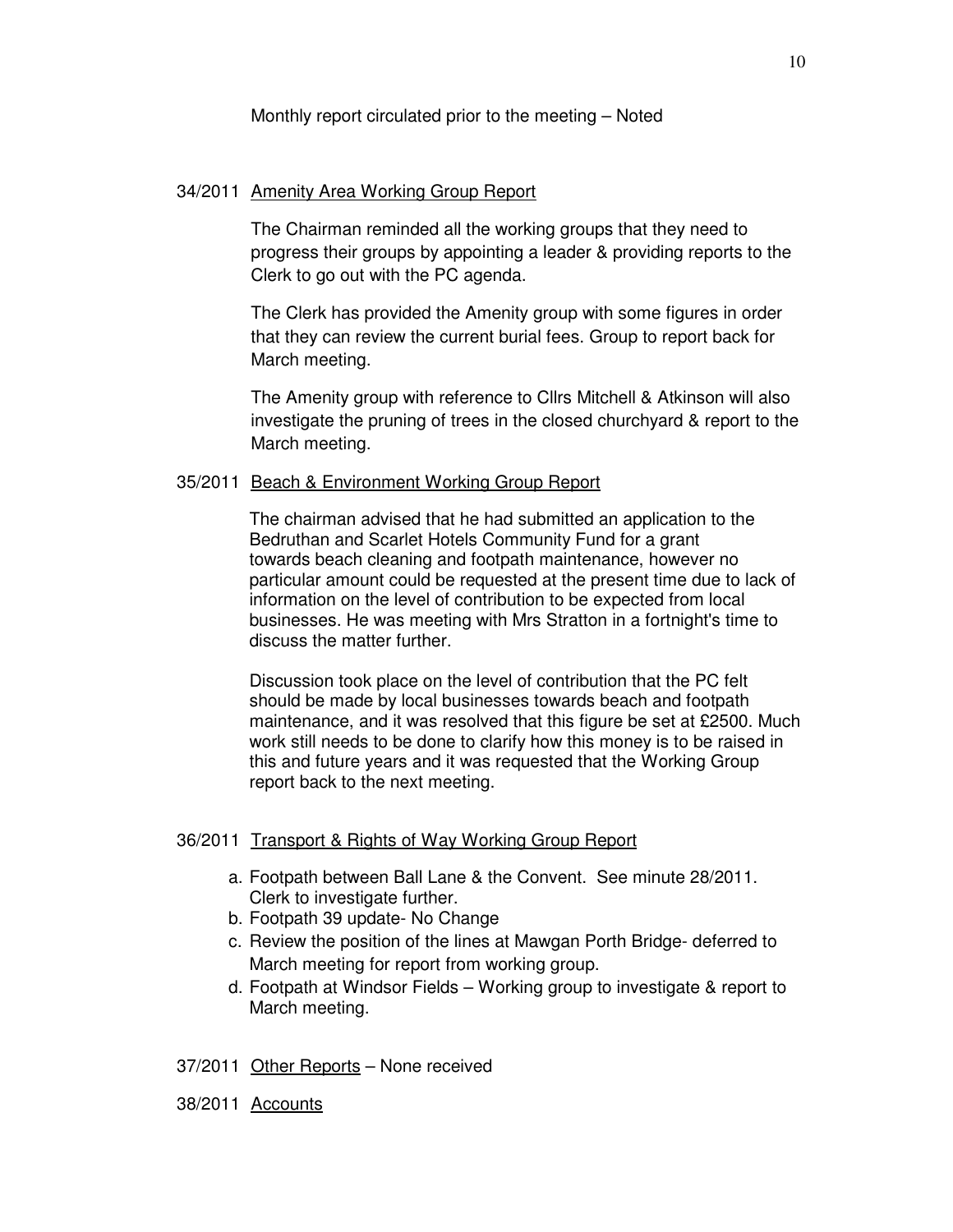Monthly report circulated prior to the meeting – Noted

## 34/2011 Amenity Area Working Group Report

The Chairman reminded all the working groups that they need to progress their groups by appointing a leader & providing reports to the Clerk to go out with the PC agenda.

The Clerk has provided the Amenity group with some figures in order that they can review the current burial fees. Group to report back for March meeting.

The Amenity group with reference to Cllrs Mitchell & Atkinson will also investigate the pruning of trees in the closed churchyard & report to the March meeting.

#### 35/2011 Beach & Environment Working Group Report

The chairman advised that he had submitted an application to the Bedruthan and Scarlet Hotels Community Fund for a grant towards beach cleaning and footpath maintenance, however no particular amount could be requested at the present time due to lack of information on the level of contribution to be expected from local businesses. He was meeting with Mrs Stratton in a fortnight's time to discuss the matter further.

Discussion took place on the level of contribution that the PC felt should be made by local businesses towards beach and footpath maintenance, and it was resolved that this figure be set at £2500. Much work still needs to be done to clarify how this money is to be raised in this and future years and it was requested that the Working Group report back to the next meeting.

#### 36/2011 Transport & Rights of Way Working Group Report

- a. Footpath between Ball Lane & the Convent. See minute 28/2011. Clerk to investigate further.
- b. Footpath 39 update- No Change
- c. Review the position of the lines at Mawgan Porth Bridge- deferred to March meeting for report from working group.
- d. Footpath at Windsor Fields Working group to investigate & report to March meeting.
- 37/2011 Other Reports None received
- 38/2011 Accounts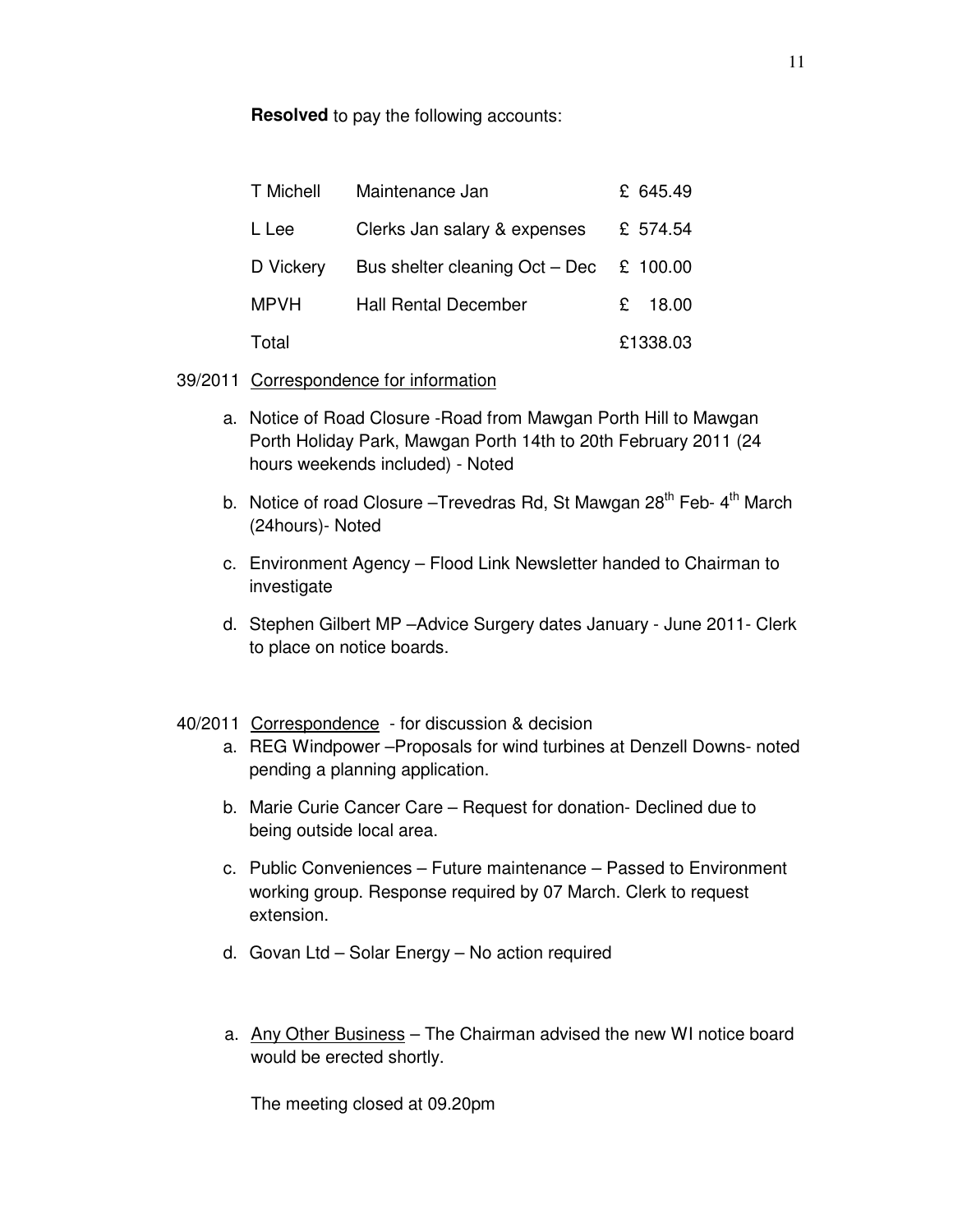**Resolved** to pay the following accounts:

| T Michell   | Maintenance Jan                            | £ 645.49   |
|-------------|--------------------------------------------|------------|
| L Lee       | Clerks Jan salary & expenses               | £ 574.54   |
| D Vickery   | Bus shelter cleaning Oct – Dec $\&$ 100.00 |            |
| <b>MPVH</b> | <b>Hall Rental December</b>                | 18.00<br>£ |
| Total       |                                            | £1338.03   |

39/2011 Correspondence for information

- a. Notice of Road Closure -Road from Mawgan Porth Hill to Mawgan Porth Holiday Park, Mawgan Porth 14th to 20th February 2011 (24 hours weekends included) - Noted
- b. Notice of road Closure –Trevedras Rd, St Mawgan 28<sup>th</sup> Feb- 4<sup>th</sup> March (24hours)- Noted
- c. Environment Agency Flood Link Newsletter handed to Chairman to investigate
- d. Stephen Gilbert MP –Advice Surgery dates January June 2011- Clerk to place on notice boards.

## 40/2011 Correspondence - for discussion & decision

- a. REG Windpower –Proposals for wind turbines at Denzell Downs- noted pending a planning application.
- b. Marie Curie Cancer Care Request for donation- Declined due to being outside local area.
- c. Public Conveniences Future maintenance Passed to Environment working group. Response required by 07 March. Clerk to request extension.
- d. Govan Ltd Solar Energy No action required
- a. Any Other Business The Chairman advised the new WI notice board would be erected shortly.

The meeting closed at 09.20pm